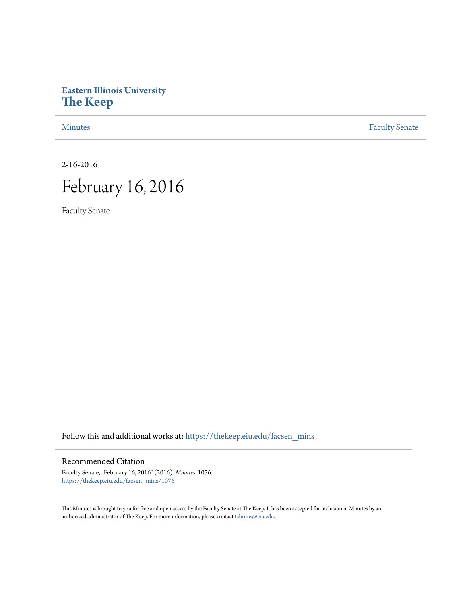## **Eastern Illinois University [The Keep](https://thekeep.eiu.edu?utm_source=thekeep.eiu.edu%2Ffacsen_mins%2F1076&utm_medium=PDF&utm_campaign=PDFCoverPages)**

[Minutes](https://thekeep.eiu.edu/facsen_mins?utm_source=thekeep.eiu.edu%2Ffacsen_mins%2F1076&utm_medium=PDF&utm_campaign=PDFCoverPages) **[Faculty Senate](https://thekeep.eiu.edu/fac_senate?utm_source=thekeep.eiu.edu%2Ffacsen_mins%2F1076&utm_medium=PDF&utm_campaign=PDFCoverPages)** 

2-16-2016

# February 16, 2016

Faculty Senate

Follow this and additional works at: [https://thekeep.eiu.edu/facsen\\_mins](https://thekeep.eiu.edu/facsen_mins?utm_source=thekeep.eiu.edu%2Ffacsen_mins%2F1076&utm_medium=PDF&utm_campaign=PDFCoverPages)

### Recommended Citation

Faculty Senate, "February 16, 2016" (2016). *Minutes*. 1076. [https://thekeep.eiu.edu/facsen\\_mins/1076](https://thekeep.eiu.edu/facsen_mins/1076?utm_source=thekeep.eiu.edu%2Ffacsen_mins%2F1076&utm_medium=PDF&utm_campaign=PDFCoverPages)

This Minutes is brought to you for free and open access by the Faculty Senate at The Keep. It has been accepted for inclusion in Minutes by an authorized administrator of The Keep. For more information, please contact [tabruns@eiu.edu](mailto:tabruns@eiu.edu).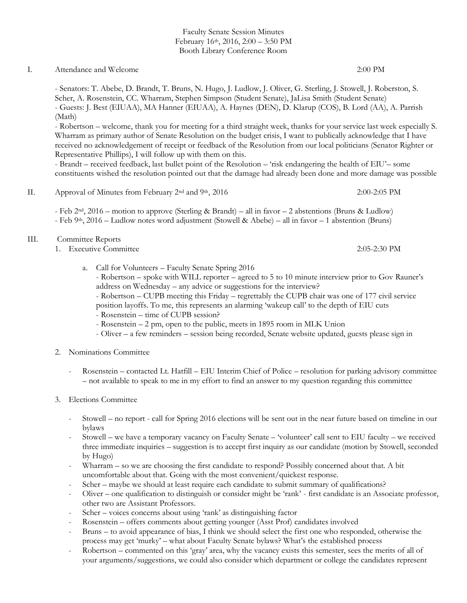Faculty Senate Session Minutes February 16th, 2016, 2:00 – 3:50 PM Booth Library Conference Room

#### I. Attendance and Welcome 2:00 PM

- Senators: T. Abebe, D. Brandt, T. Bruns, N. Hugo, J. Ludlow, J. Oliver, G. Sterling, J. Stowell, J. Roberston, S. Scher, A. Rosenstein, CC. Wharram, Stephen Simpson (Student Senate), JaLisa Smith (Student Senate) - Guests: J. Best (EIUAA), MA Hanner (EIUAA), A. Haynes (DEN), D. Klarup (COS), B. Lord (AA), A. Parrish (Math)

- Robertson – welcome, thank you for meeting for a third straight week, thanks for your service last week especially S. Wharram as primary author of Senate Resolution on the budget crisis, I want to publically acknowledge that I have received no acknowledgement of receipt or feedback of the Resolution from our local politicians (Senator Righter or Representative Phillips), I will follow up with them on this.

- Brandt – received feedback, last bullet point of the Resolution – 'risk endangering the health of EIU'– some constituents wished the resolution pointed out that the damage had already been done and more damage was possible

II. Approval of Minutes from February 2nd and 9th, 2016 2:00-2:05 PM

- Feb 2nd, 2016 – motion to approve (Sterling & Brandt) – all in favor – 2 abstentions (Bruns & Ludlow) - Feb 9<sup>th</sup>, 2016 – Ludlow notes word adjustment (Stowell & Abebe) – all in favor – 1 abstention (Bruns)

#### III. Committee Reports

- 1. Executive Committee 2:05-2:30 PM
	- a. Call for Volunteers Faculty Senate Spring 2016 - Robertson – spoke with WILL reporter – agreed to 5 to 10 minute interview prior to Gov Rauner's address on Wednesday – any advice or suggestions for the interview?
		- Robertson CUPB meeting this Friday regrettably the CUPB chair was one of 177 civil service position layoffs. To me, this represents an alarming 'wakeup call' to the depth of EIU cuts - Rosenstein – time of CUPB session?
		- Rosenstein 2 pm, open to the public, meets in 1895 room in MLK Union
		- Oliver a few reminders session being recorded, Senate website updated, guests please sign in
- 2. Nominations Committee
	- Rosenstein contacted Lt. Hatfill EIU Interim Chief of Police resolution for parking advisory committee – not available to speak to me in my effort to find an answer to my question regarding this committee
- 3. Elections Committee
	- Stowell no report call for Spring 2016 elections will be sent out in the near future based on timeline in our bylaws
	- Stowell we have a temporary vacancy on Faculty Senate 'volunteer' call sent to EIU faculty we received three immediate inquiries – suggestion is to accept first inquiry as our candidate (motion by Stowell, seconded by Hugo)
	- Wharram so we are choosing the first candidate to respond? Possibly concerned about that. A bit uncomfortable about that. Going with the most convenient/quickest response.
	- Scher maybe we should at least require each candidate to submit summary of qualifications?
	- Oliver one qualification to distinguish or consider might be 'rank' first candidate is an Associate professor, other two are Assistant Professors.
	- Scher voices concerns about using 'rank' as distinguishing factor
	- Rosenstein offers comments about getting younger (Asst Prof) candidates involved
	- Bruns to avoid appearance of bias, I think we should select the first one who responded, otherwise the process may get 'murky' – what about Faculty Senate bylaws? What's the established process
	- Robertson commented on this 'gray' area, why the vacancy exists this semester, sees the merits of all of your arguments/suggestions, we could also consider which department or college the candidates represent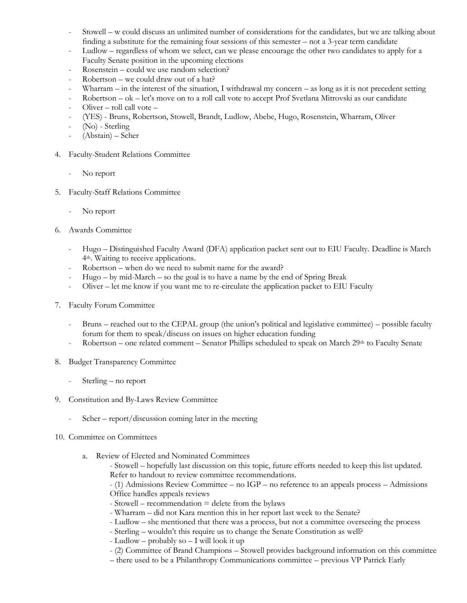- Stowell w could discuss an unlimited number of considerations for the candidates, but we are talking about finding a substitute for the remaining four sessions of this semester – not a 3-year term candidate
- Ludlow regardless of whom we select, can we please encourage the other two candidates to apply for a Faculty Senate position in the upcoming elections
- Rosenstein could we use random selection?
- Robertson we could draw out of a hat?
- Wharram in the interest of the situation, I withdrawal my concern as long as it is not precedent setting
- Robertson ok let's move on to a roll call vote to accept Prof Svetlana Mitrovski as our candidate
- Oliver roll call vote –
- (YES) Bruns, Robertson, Stowell, Brandt, Ludlow, Abebe, Hugo, Rosenstein, Wharram, Oliver
- (No) Sterling
- (Abstain) Scher
- 4. Faculty-Student Relations Committee
	- No report
- 5. Faculty-Staff Relations Committee
	- No report
- 6. Awards Committee
	- Hugo Distinguished Faculty Award (DFA) application packet sent out to EIU Faculty. Deadline is March 4th. Waiting to receive applications.
	- Robertson when do we need to submit name for the award?
	- $Hugo by mid-March so the goal is to have a name by the end of Spring Break$
	- Oliver let me know if you want me to re-circulate the application packet to EIU Faculty
- 7. Faculty Forum Committee
	- Bruns reached out to the CEPAL group (the union's political and legislative committee) possible faculty forum for them to speak/discuss on issues on higher education funding
	- Robertson one related comment Senator Phillips scheduled to speak on March 29<sup>th</sup> to Faculty Senate
- 8. Budget Transparency Committee
	- Sterling no report
- 9. Constitution and By-Laws Review Committee
	- Scher report/discussion coming later in the meeting
- 10. Committee on Committees
	- a. Review of Elected and Nominated Committees
		- Stowell hopefully last discussion on this topic, future efforts needed to keep this list updated. Refer to handout to review committee recommendations.

- (1) Admissions Review Committee – no IGP – no reference to an appeals process – Admissions Office handles appeals reviews

- Stowell recommendation = delete from the bylaws
- Wharram did not Kara mention this in her report last week to the Senate?
- Ludlow she mentioned that there was a process, but not a committee overseeing the process
- Sterling wouldn't this require us to change the Senate Constitution as well?
- Ludlow probably so I will look it up
- (2) Committee of Brand Champions Stowell provides background information on this committee
- there used to be a Philanthropy Communications committee previous VP Patrick Early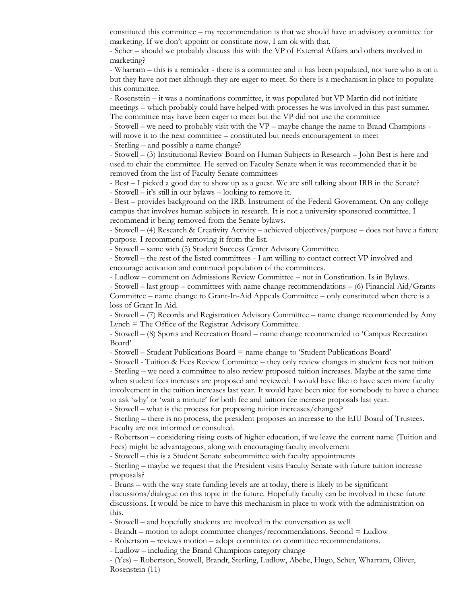constituted this committee – my recommendation is that we should have an advisory committee for marketing. If we don't appoint or constitute now, I am ok with that.

- Scher – should we probably discuss this with the VP of External Affairs and others involved in marketing?

- Wharram – this is a reminder - there is a committee and it has been populated, not sure who is on it but they have not met although they are eager to meet. So there is a mechanism in place to populate this committee.

- Rosenstein – it was a nominations committee, it was populated but VP Martin did not initiate meetings – which probably could have helped with processes he was involved in this past summer. The committee may have been eager to meet but the VP did not use the committee

- Stowell – we need to probably visit with the VP – maybe change the name to Brand Champions will move it to the next committee – constituted but needs encouragement to meet

- Sterling – and possibly a name change?

- Stowell – (3) Institutional Review Board on Human Subjects in Research – John Best is here and used to chair the committee. He served on Faculty Senate when it was recommended that it be removed from the list of Faculty Senate committees

- Best – I picked a good day to show up as a guest. We are still talking about IRB in the Senate? - Stowell – it's still in our bylaws – looking to remove it.

- Best – provides background on the IRB. Instrument of the Federal Government. On any college campus that involves human subjects in research. It is not a university sponsored committee. I recommend it being removed from the Senate bylaws.

- Stowell – (4) Research & Creativity Activity – achieved objectives/purpose – does not have a future purpose. I recommend removing it from the list.

- Stowell – same with (5) Student Success Center Advisory Committee.

- Stowell – the rest of the listed committees - I am willing to contact correct VP involved and encourage activation and continued population of the committees.

- Ludlow – comment on Admissions Review Committee – not in Constitution. Is in Bylaws.

- Stowell – last group – committees with name change recommendations – (6) Financial Aid/Grants Committee – name change to Grant-In-Aid Appeals Committee – only constituted when there is a loss of Grant In Aid.

- Stowell – (7) Records and Registration Advisory Committee – name change recommended by Amy Lynch = The Office of the Registrar Advisory Committee.

- Stowell – (8) Sports and Recreation Board – name change recommended to 'Campus Recreation Board'

- Stowell – Student Publications Board = name change to 'Student Publications Board'

- Stowell - Tuition & Fees Review Committee – they only review changes in student fees not tuition

- Sterling – we need a committee to also review proposed tuition increases. Maybe at the same time when student fees increases are proposed and reviewed. I would have like to have seen more faculty involvement in the tuition increases last year. It would have been nice for somebody to have a chance to ask 'why' or 'wait a minute' for both fee and tuition fee increase proposals last year.

- Stowell – what is the process for proposing tuition increases/changes?

- Sterling – there is no process, the president proposes an increase to the EIU Board of Trustees. Faculty are not informed or consulted.

- Robertson – considering rising costs of higher education, if we leave the current name (Tuition and Fees) might be advantageous, along with encouraging faculty involvement

- Stowell – this is a Student Senate subcommittee with faculty appointments

- Sterling – maybe we request that the President visits Faculty Senate with future tuition increase proposals?

- Bruns – with the way state funding levels are at today, there is likely to be significant discussions/dialogue on this topic in the future. Hopefully faculty can be involved in these future discussions. It would be nice to have this mechanism in place to work with the administration on this.

- Stowell – and hopefully students are involved in the conversation as well

- Brandt – motion to adopt committee changes/recommendations. Second = Ludlow

- Robertson – reviews motion – adopt committee on committee recommendations.

- Ludlow – including the Brand Champions category change

- (Yes) – Robertson, Stowell, Brandt, Sterling, Ludlow, Abebe, Hugo, Scher, Wharram, Oliver, Rosenstein (11)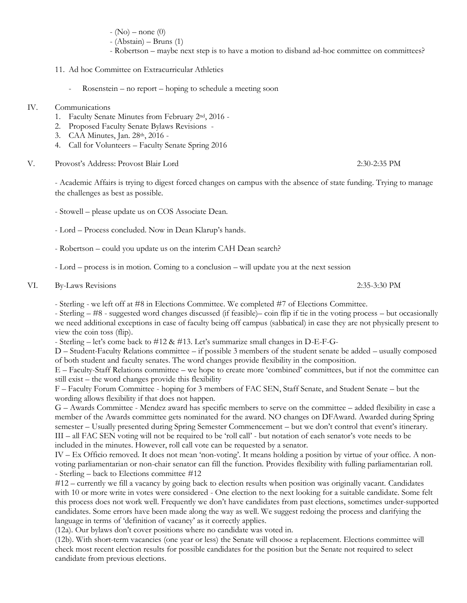- $(No)$  none  $(0)$
- (Abstain) Bruns (1)
- Robertson maybe next step is to have a motion to disband ad-hoc committee on committees?
- 11. Ad hoc Committee on Extracurricular Athletics
	- Rosenstein no report hoping to schedule a meeting soon

### IV. Communications

- 1. Faculty Senate Minutes from February 2nd, 2016 -
- 2. Proposed Faculty Senate Bylaws Revisions -
- 3. CAA Minutes, Jan. 28th, 2016 -
- 4. Call for Volunteers Faculty Senate Spring 2016
- V. Provost's Address: Provost Blair Lord 2:30-2:35 PM

- Academic Affairs is trying to digest forced changes on campus with the absence of state funding. Trying to manage the challenges as best as possible.

- Stowell please update us on COS Associate Dean.
- Lord Process concluded. Now in Dean Klarup's hands.
- Robertson could you update us on the interim CAH Dean search?
- Lord process is in motion. Coming to a conclusion will update you at the next session
- VI. By-Laws Revisions 2:35-3:30 PM

- Sterling - we left off at #8 in Elections Committee. We completed #7 of Elections Committee.

- Sterling – #8 - suggested word changes discussed (if feasible)– coin flip if tie in the voting process – but occasionally we need additional exceptions in case of faculty being off campus (sabbatical) in case they are not physically present to view the coin toss (flip).

- Sterling – let's come back to #12 & #13. Let's summarize small changes in D-E-F-G-

D – Student-Faculty Relations committee – if possible 3 members of the student senate be added – usually composed of both student and faculty senates. The word changes provide flexibility in the composition.

E – Faculty-Staff Relations committee – we hope to create more 'combined' committees, but if not the committee can still exist – the word changes provide this flexibility

F – Faculty Forum Committee - hoping for 3 members of FAC SEN, Staff Senate, and Student Senate – but the wording allows flexibility if that does not happen.

G – Awards Committee - Mendez award has specific members to serve on the committee – added flexibility in case a member of the Awards committee gets nominated for the award. NO changes on DFAward. Awarded during Spring semester – Usually presented during Spring Semester Commencement – but we don't control that event's itinerary. III – all FAC SEN voting will not be required to be 'roll call' - but notation of each senator's vote needs to be included in the minutes. However, roll call vote can be requested by a senator.

IV – Ex Officio removed. It does not mean 'non-voting'. It means holding a position by virtue of your office. A nonvoting parliamentarian or non-chair senator can fill the function. Provides flexibility with fulling parliamentarian roll. - Sterling – back to Elections committee #12

#12 – currently we fill a vacancy by going back to election results when position was originally vacant. Candidates with 10 or more write in votes were considered - One election to the next looking for a suitable candidate. Some felt this process does not work well. Frequently we don't have candidates from past elections, sometimes under-supported candidates. Some errors have been made along the way as well. We suggest redoing the process and clarifying the language in terms of 'definition of vacancy' as it correctly applies.

(12a). Our bylaws don't cover positions where no candidate was voted in.

(12b). With short-term vacancies (one year or less) the Senate will choose a replacement. Elections committee will check most recent election results for possible candidates for the position but the Senate not required to select candidate from previous elections.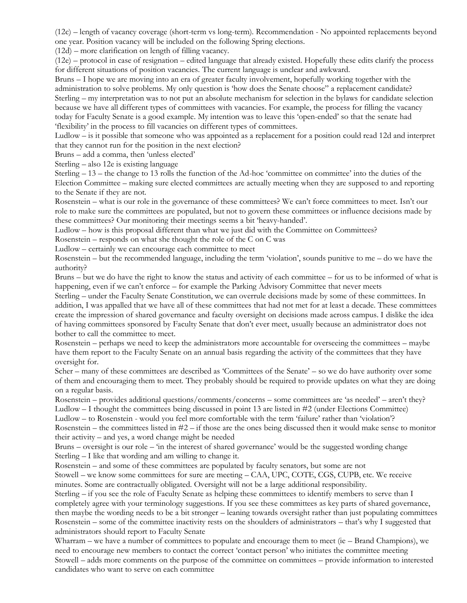(12c) – length of vacancy coverage (short-term vs long-term). Recommendation - No appointed replacements beyond one year. Position vacancy will be included on the following Spring elections.

(12d) – more clarification on length of filling vacancy.

(12e) – protocol in case of resignation – edited language that already existed. Hopefully these edits clarify the process for different situations of position vacancies. The current language is unclear and awkward.

Bruns – I hope we are moving into an era of greater faculty involvement, hopefully working together with the administration to solve problems. My only question is 'how does the Senate choose" a replacement candidate? Sterling – my interpretation was to not put an absolute mechanism for selection in the bylaws for candidate selection because we have all different types of committees with vacancies. For example, the process for filling the vacancy today for Faculty Senate is a good example. My intention was to leave this 'open-ended' so that the senate had 'flexibility' in the process to fill vacancies on different types of committees.

Ludlow – is it possible that someone who was appointed as a replacement for a position could read 12d and interpret that they cannot run for the position in the next election?

Bruns – add a comma, then 'unless elected'

Sterling – also 12e is existing language

Sterling – 13 – the change to 13 rolls the function of the Ad-hoc 'committee on committee' into the duties of the Election Committee – making sure elected committees are actually meeting when they are supposed to and reporting to the Senate if they are not.

Rosenstein – what is our role in the governance of these committees? We can't force committees to meet. Isn't our role to make sure the committees are populated, but not to govern these committees or influence decisions made by these committees? Our monitoring their meetings seems a bit 'heavy-handed'.

Ludlow – how is this proposal different than what we just did with the Committee on Committees?

Rosenstein – responds on what she thought the role of the C on C was

Ludlow – certainly we can encourage each committee to meet

Rosenstein – but the recommended language, including the term 'violation', sounds punitive to me – do we have the authority?

Bruns – but we do have the right to know the status and activity of each committee – for us to be informed of what is happening, even if we can't enforce – for example the Parking Advisory Committee that never meets

Sterling – under the Faculty Senate Constitution, we can overrule decisions made by some of these committees. In addition, I was appalled that we have all of these committees that had not met for at least a decade. These committees create the impression of shared governance and faculty oversight on decisions made across campus. I dislike the idea of having committees sponsored by Faculty Senate that don't ever meet, usually because an administrator does not bother to call the committee to meet.

Rosenstein – perhaps we need to keep the administrators more accountable for overseeing the committees – maybe have them report to the Faculty Senate on an annual basis regarding the activity of the committees that they have oversight for.

Scher – many of these committees are described as 'Committees of the Senate' – so we do have authority over some of them and encouraging them to meet. They probably should be required to provide updates on what they are doing on a regular basis.

Rosenstein – provides additional questions/comments/concerns – some committees are 'as needed' – aren't they? Ludlow – I thought the committees being discussed in point 13 are listed in #2 (under Elections Committee)

Ludlow – to Rosenstein - would you feel more comfortable with the term 'failure' rather than 'violation'? Rosenstein – the committees listed in  $#2$  – if those are the ones being discussed then it would make sense to monitor

their activity – and yes, a word change might be needed Bruns – oversight is our role – 'in the interest of shared governance' would be the suggested wording change Sterling – I like that wording and am willing to change it.

Rosenstein – and some of these committees are populated by faculty senators, but some are not

Stowell – we know some committees for sure are meeting – CAA, UPC, COTE, CGS, CUPB, etc. We receive minutes. Some are contractually obligated. Oversight will not be a large additional responsibility.

Sterling – if you see the role of Faculty Senate as helping these committees to identify members to serve than I completely agree with your terminology suggestions. If you see these committees as key parts of shared governance, then maybe the wording needs to be a bit stronger – leaning towards oversight rather than just populating committees Rosenstein – some of the committee inactivity rests on the shoulders of administrators – that's why I suggested that administrators should report to Faculty Senate

Wharram – we have a number of committees to populate and encourage them to meet (ie – Brand Champions), we need to encourage new members to contact the correct 'contact person' who initiates the committee meeting Stowell – adds more comments on the purpose of the committee on committees – provide information to interested candidates who want to serve on each committee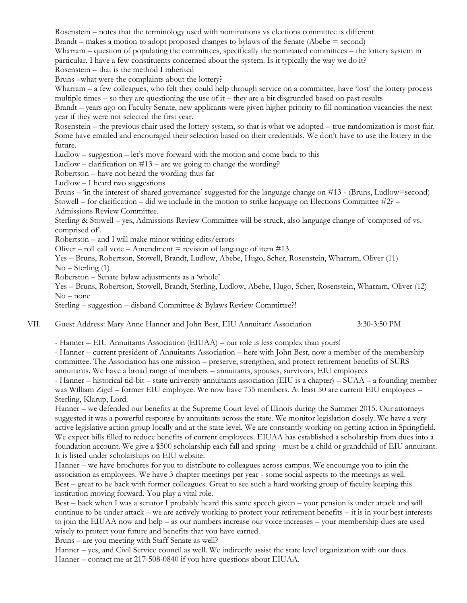Rosenstein – notes that the terminology used with nominations vs elections committee is different Brandt – makes a motion to adopt proposed changes to bylaws of the Senate (Abebe = second) Wharram – question of populating the committees, specifically the nominated committees – the lottery system in particular. I have a few constituents concerned about the system. Is it typically the way we do it? Rosenstein – that is the method I inherited Bruns –what were the complaints about the lottery? Wharram – a few colleagues, who felt they could help through service on a committee, have 'lost' the lottery process multiple times – so they are questioning the use of it – they are a bit disgruntled based on past results Brandt – years ago on Faculty Senate, new applicants were given higher priority to fill nomination vacancies the next year if they were not selected the first year. Rosenstein – the previous chair used the lottery system, so that is what we adopted – true randomization is most fair. Some have emailed and encouraged their selection based on their credentials. We don't have to use the lottery in the future. Ludlow – suggestion – let's move forward with the motion and come back to this Ludlow – clarification on  $#13$  – are we going to change the wording? Robertson – have not heard the wording thus far Ludlow – I heard two suggestions Bruns – 'in the interest of shared governance' suggested for the language change on #13 - (Bruns, Ludlow=second) Stowell – for clarification – did we include in the motion to strike language on Elections Committee #2? – Admissions Review Committee. Sterling & Stowell – yes, Admissions Review Committee will be struck, also language change of 'composed of vs. comprised of'. Robertson – and I will make minor writing edits/errors Oliver – roll call vote – Amendment  $=$  revision of language of item #13. Yes – Bruns, Robertson, Stowell, Brandt, Ludlow, Abebe, Hugo, Scher, Rosenstein, Wharram, Oliver (11) No – Sterling (1) Roberston – Senate bylaw adjustments as a 'whole' Yes – Bruns, Robertson, Stowell, Brandt, Sterling, Ludlow, Abebe, Hugo, Scher, Rosenstein, Wharram, Oliver (12) No – none

Sterling – suggestion – disband Committee & Bylaws Review Committee?!

VII. Guest Address: Mary Anne Hanner and John Best, EIU Annuitant Association 3:30-3:50 PM

- Hanner – EIU Annuitants Association (EIUAA) – our role is less complex than yours!

- Hanner – current president of Annuitants Association – here with John Best, now a member of the membership committee. The Association has one mission – preserve, strengthen, and protect retirement benefits of SURS annuitants. We have a broad range of members – annuitants, spouses, survivors, EIU employees

- Hanner – historical tid-bit – state university annuitants association (EIU is a chapter) – SUAA – a founding member was William Zigel – former EIU employee. We now have 735 members. At least 50 are current EIU employees – Sterling, Klarup, Lord.

Hanner – we defended our benefits at the Supreme Court level of Illinois during the Summer 2015. Our attorneys suggested it was a powerful response by annuitants across the state. We monitor legislation closely. We have a very active legislative action group locally and at the state level. We are constantly working on getting action in Springfield. We expect bills filled to reduce benefits of current employees. EIUAA has established a scholarship from dues into a foundation account. We give a \$500 scholarship each fall and spring - must be a child or grandchild of EIU annuitant. It is listed under scholarships on EIU website.

Hanner – we have brochures for you to distribute to colleagues across campus. We encourage you to join the association as employees. We have 3 chapter meetings per year - some social aspects to the meetings as well. Best – great to be back with former colleagues. Great to see such a hard working group of faculty keeping this institution moving forward. You play a vital role.

Best – back when I was a senator I probably heard this same speech given – your pension is under attack and will continue to be under attack – we are actively working to protect your retirement benefits – it is in your best interests to join the EIUAA now and help – as our numbers increase our voice increases – your membership dues are used wisely to protect your future and benefits that you have earned.

Bruns – are you meeting with Staff Senate as well?

Hanner – yes, and Civil Service council as well. We indirectly assist the state level organization with our dues. Hanner – contact me at 217-508-0840 if you have questions about EIUAA.